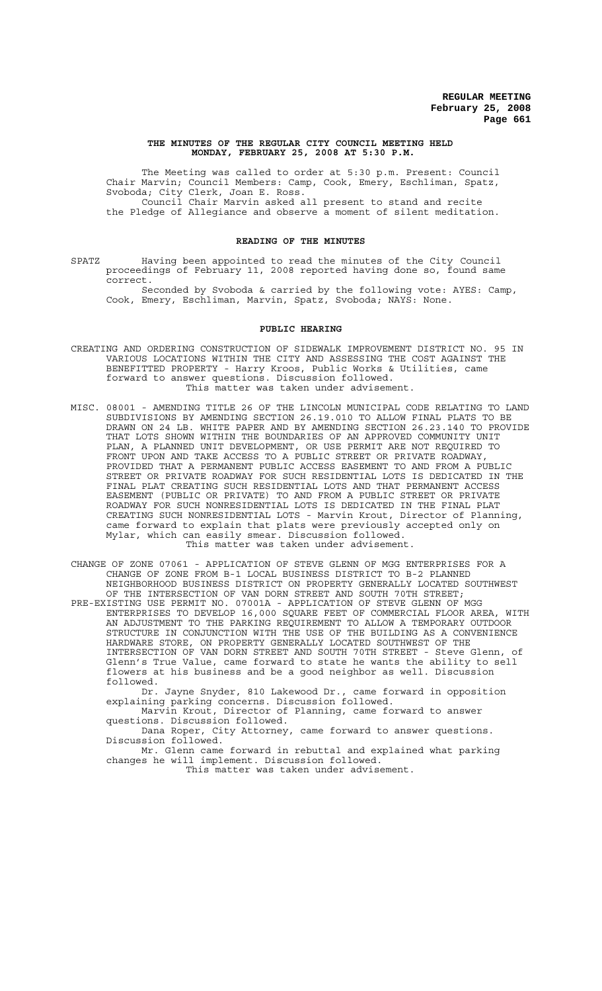#### **THE MINUTES OF THE REGULAR CITY COUNCIL MEETING HELD MONDAY, FEBRUARY 25, 2008 AT 5:30 P.M.**

The Meeting was called to order at 5:30 p.m. Present: Council Chair Marvin; Council Members: Camp, Cook, Emery, Eschliman, Spatz, Svoboda; City Clerk, Joan E. Ross. Council Chair Marvin asked all present to stand and recite the Pledge of Allegiance and observe a moment of silent meditation.

### **READING OF THE MINUTES**

SPATZ Having been appointed to read the minutes of the City Council proceedings of February 11, 2008 reported having done so, found same correct.

Seconded by Svoboda & carried by the following vote: AYES: Camp, Cook, Emery, Eschliman, Marvin, Spatz, Svoboda; NAYS: None.

# **PUBLIC HEARING**

- CREATING AND ORDERING CONSTRUCTION OF SIDEWALK IMPROVEMENT DISTRICT NO. 95 IN VARIOUS LOCATIONS WITHIN THE CITY AND ASSESSING THE COST AGAINST THE BENEFITTED PROPERTY - Harry Kroos, Public Works & Utilities, came forward to answer questions. Discussion followed. This matter was taken under advisement.
- MISC. 08001 AMENDING TITLE 26 OF THE LINCOLN MUNICIPAL CODE RELATING TO LAND SUBDIVISIONS BY AMENDING SECTION 26.19.010 TO ALLOW FINAL PLATS TO BE DRAWN ON 24 LB. WHITE PAPER AND BY AMENDING SECTION 26.23.140 TO PROVIDE THAT LOTS SHOWN WITHIN THE BOUNDARIES OF AN APPROVED COMMUNITY UNIT PLAN, A PLANNED UNIT DEVELOPMENT, OR USE PERMIT ARE NOT REQUIRED TO FRONT UPON AND TAKE ACCESS TO A PUBLIC STREET OR PRIVATE ROADWAY, PROVIDED THAT A PERMANENT PUBLIC ACCESS EASEMENT TO AND FROM A PUBLIC STREET OR PRIVATE ROADWAY FOR SUCH RESIDENTIAL LOTS IS DEDICATED IN THE FINAL PLAT CREATING SUCH RESIDENTIAL LOTS AND THAT PERMANENT ACCESS EASEMENT (PUBLIC OR PRIVATE) TO AND FROM A PUBLIC STREET OR PRIVATE ROADWAY FOR SUCH NONRESIDENTIAL LOTS IS DEDICATED IN THE FINAL PLAT CREATING SUCH NONRESIDENTIAL LOTS - Marvin Krout, Director of Planning, came forward to explain that plats were previously accepted only on Mylar, which can easily smear. Discussion followed. This matter was taken under advisement.
- CHANGE OF ZONE 07061 APPLICATION OF STEVE GLENN OF MGG ENTERPRISES FOR A CHANGE OF ZONE FROM B-1 LOCAL BUSINESS DISTRICT TO B-2 PLANNED NEIGHBORHOOD BUSINESS DISTRICT ON PROPERTY GENERALLY LOCATED SOUTHWEST OF THE INTERSECTION OF VAN DORN STREET AND SOUTH 70TH STREET;
- PRE-EXISTING USE PERMIT NO. 07001A APPLICATION OF STEVE GLENN OF MGG ENTERPRISES TO DEVELOP 16,000 SQUARE FEET OF COMMERCIAL FLOOR AREA, WITH AN ADJUSTMENT TO THE PARKING REQUIREMENT TO ALLOW A TEMPORARY OUTDOOR STRUCTURE IN CONJUNCTION WITH THE USE OF THE BUILDING AS A CONVENIENCE HARDWARE STORE, ON PROPERTY GENERALLY LOCATED SOUTHWEST OF THE INTERSECTION OF VAN DORN STREET AND SOUTH 70TH STREET - Steve Glenn, of Glenn's True Value, came forward to state he wants the ability to sell flowers at his business and be a good neighbor as well. Discussion followed.

Dr. Jayne Snyder, 810 Lakewood Dr., came forward in opposition explaining parking concerns. Discussion followed.

Marvin Krout, Director of Planning, came forward to answer questions. Discussion followed.

Dana Roper, City Attorney, came forward to answer questions. Discussion followed.

Mr. Glenn came forward in rebuttal and explained what parking changes he will implement. Discussion followed.

This matter was taken under advisement.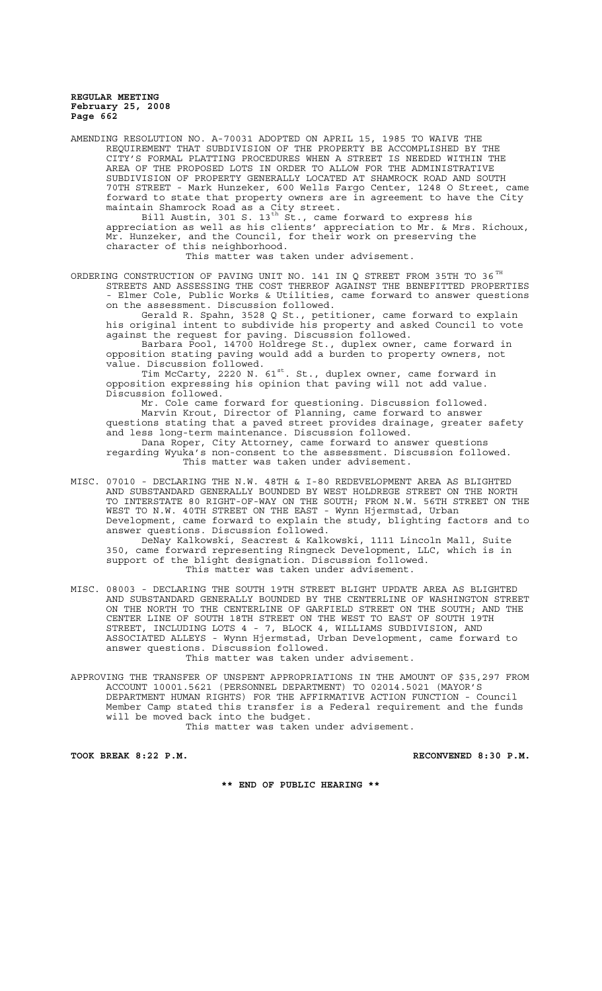AMENDING RESOLUTION NO. A-70031 ADOPTED ON APRIL 15, 1985 TO WAIVE THE REQUIREMENT THAT SUBDIVISION OF THE PROPERTY BE ACCOMPLISHED BY THE CITY'S FORMAL PLATTING PROCEDURES WHEN A STREET IS NEEDED WITHIN THE AREA OF THE PROPOSED LOTS IN ORDER TO ALLOW FOR THE ADMINISTRATIVE SUBDIVISION OF PROPERTY GENERALLY LOCATED AT SHAMROCK ROAD AND SOUTH 70TH STREET - Mark Hunzeker, 600 Wells Fargo Center, 1248 O Street, forward to state that property owners are in agreement to have the City maintain Shamrock Road as a City street. Bill Austin, 301 S. 13<sup>th</sup> St., came forward to express his appreciation as well as his clients' appreciation to Mr. & Mrs. Richoux, Mr. Hunzeker, and the Council, for their work on preserving the character of this neighborhood. This matter was taken under advisement. ORDERING CONSTRUCTION OF PAVING UNIT NO. 141 IN Q STREET FROM 35TH TO 36  $^{TH}$ STREETS AND ASSESSING THE COST THEREOF AGAINST THE BENEFITTED PROPERTIES - Elmer Cole, Public Works & Utilities, came forward to answer questions on the assessment. Discussion followed. Gerald R. Spahn, 3528 Q St., petitioner, came forward to explain his original intent to subdivide his property and asked Council to vote against the request for paving. Discussion followed. Barbara Pool, 14700 Holdrege St., duplex owner, came forward in opposition stating paving would add a burden to property owners, not value. Discussion followed. Tim McCarty, 2220 N. 61<sup>st</sup>. St., duplex owner, came forward in opposition expressing his opinion that paving will not add value. Discussion followed. Mr. Cole came forward for questioning. Discussion followed. Marvin Krout, Director of Planning, came forward to answer questions stating that a paved street provides drainage, greater safety and less long-term maintenance. Discussion followed. Dana Roper, City Attorney, came forward to answer questions regarding Wyuka's non-consent to the assessment. Discussion followed. This matter was taken under advisement. MISC. 07010 - DECLARING THE N.W. 48TH & I-80 REDEVELOPMENT AREA AS BLIGHTED AND SUBSTANDARD GENERALLY BOUNDED BY WEST HOLDREGE STREET ON THE NORTH TO INTERSTATE 80 RIGHT-OF-WAY ON THE SOUTH; FROM N.W. 56TH STREET ON THE WEST TO N.W. 40TH STREET ON THE EAST - Wynn Hjermstad, Urban Development, came forward to explain the study, blighting factors and to answer questions. Discussion followed. DeNay Kalkowski, Seacrest & Kalkowski, 1111 Lincoln Mall, Suite 350, came forward representing Ringneck Development, LLC, which is in support of the blight designation. Discussion followed. This matter was taken under advisement. MISC. 08003 - DECLARING THE SOUTH 19TH STREET BLIGHT UPDATE AREA AS BLIGHTED AND SUBSTANDARD GENERALLY BOUNDED BY THE CENTERLINE OF WASHINGTON STREET ON THE NORTH TO THE CENTERLINE OF GARFIELD STREET ON THE SOUTH; AND THE CENTER LINE OF SOUTH 18TH STREET ON THE WEST TO EAST OF SOUTH 19TH STREET, INCLUDING LOTS 4 - 7, BLOCK 4, WILLIAMS SUBDIVISION, AND ASSOCIATED ALLEYS - Wynn Hjermstad, Urban Development, came forward to answer questions. Discussion followed. This matter was taken under advisement. APPROVING THE TRANSFER OF UNSPENT APPROPRIATIONS IN THE AMOUNT OF \$35,297 FROM ACCOUNT 10001.5621 (PERSONNEL DEPARTMENT) TO 02014.5021 (MAYOR'S DEPARTMENT HUMAN RIGHTS) FOR THE AFFIRMATIVE ACTION FUNCTION - Council Member Camp stated this transfer is a Federal requirement and the funds will be moved back into the budget.

This matter was taken under advisement.

TOOK BREAK 8:22 P.M. **RECONVENED 8:30 P.M.** 

**\*\* END OF PUBLIC HEARING \*\***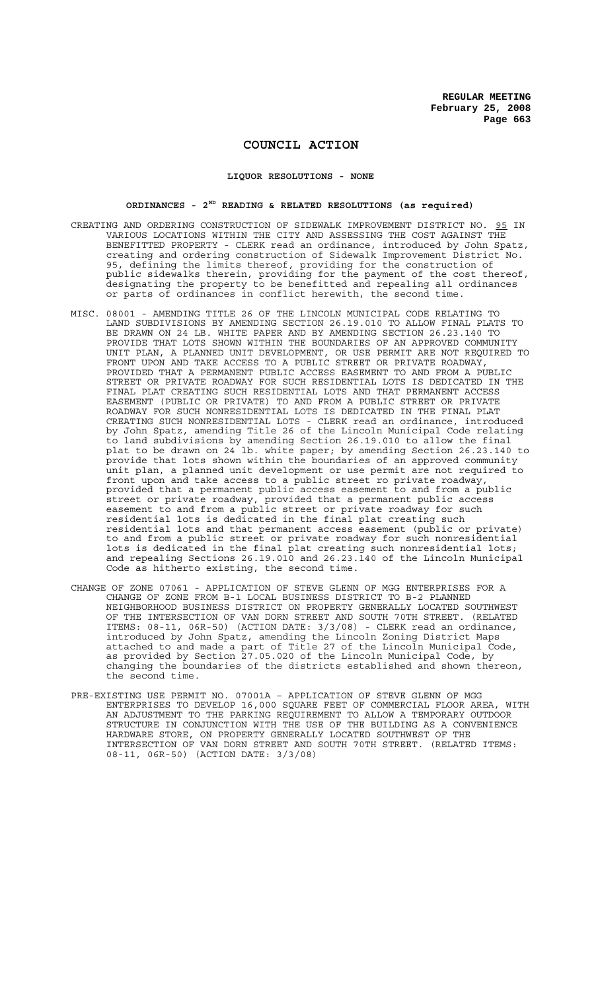# **COUNCIL ACTION**

## **LIQUOR RESOLUTIONS - NONE**

## **ORDINANCES - 2ND READING & RELATED RESOLUTIONS (as required)**

- CREATING AND ORDERING CONSTRUCTION OF SIDEWALK IMPROVEMENT DISTRICT NO. 95 IN VARIOUS LOCATIONS WITHIN THE CITY AND ASSESSING THE COST AGAINST THE BENEFITTED PROPERTY - CLERK read an ordinance, introduced by John Spatz, creating and ordering construction of Sidewalk Improvement District No. 95, defining the limits thereof, providing for the construction of public sidewalks therein, providing for the payment of the cost thereof, designating the property to be benefitted and repealing all ordinances or parts of ordinances in conflict herewith, the second time.
- MISC. 08001 AMENDING TITLE 26 OF THE LINCOLN MUNICIPAL CODE RELATING TO LAND SUBDIVISIONS BY AMENDING SECTION 26.19.010 TO ALLOW FINAL PLATS TO BE DRAWN ON 24 LB. WHITE PAPER AND BY AMENDING SECTION 26.23.140 TO PROVIDE THAT LOTS SHOWN WITHIN THE BOUNDARIES OF AN APPROVED COMMUNITY UNIT PLAN, A PLANNED UNIT DEVELOPMENT, OR USE PERMIT ARE NOT REQUIRED TO FRONT UPON AND TAKE ACCESS TO A PUBLIC STREET OR PRIVATE ROADWAY, PROVIDED THAT A PERMANENT PUBLIC ACCESS EASEMENT TO AND FROM A PUBLIC STREET OR PRIVATE ROADWAY FOR SUCH RESIDENTIAL LOTS IS DEDICATED IN THE FINAL PLAT CREATING SUCH RESIDENTIAL LOTS AND THAT PERMANENT ACCESS EASEMENT (PUBLIC OR PRIVATE) TO AND FROM A PUBLIC STREET OR PRIVATE ROADWAY FOR SUCH NONRESIDENTIAL LOTS IS DEDICATED IN THE FINAL PLAT CREATING SUCH NONRESIDENTIAL LOTS - CLERK read an ordinance, introduced by John Spatz, amending Title 26 of the Lincoln Municipal Code relating to land subdivisions by amending Section 26.19.010 to allow the final plat to be drawn on 24 lb. white paper; by amending Section 26.23.140 to provide that lots shown within the boundaries of an approved community unit plan, a planned unit development or use permit are not required to front upon and take access to a public street ro private roadway, provided that a permanent public access easement to and from a public street or private roadway, provided that a permanent public access easement to and from a public street or private roadway for such residential lots is dedicated in the final plat creating such residential lots and that permanent access easement (public or private) to and from a public street or private roadway for such nonresidential lots is dedicated in the final plat creating such nonresidential lots; and repealing Sections 26.19.010 and 26.23.140 of the Lincoln Municipal Code as hitherto existing, the second time.
- CHANGE OF ZONE 07061 APPLICATION OF STEVE GLENN OF MGG ENTERPRISES FOR A CHANGE OF ZONE FROM B-1 LOCAL BUSINESS DISTRICT TO B-2 PLANNED NEIGHBORHOOD BUSINESS DISTRICT ON PROPERTY GENERALLY LOCATED SOUTHWEST OF THE INTERSECTION OF VAN DORN STREET AND SOUTH 70TH STREET. (RELATED ITEMS: 08-11, 06R-50) (ACTION DATE: 3/3/08) - CLERK read an ordinance, introduced by John Spatz, amending the Lincoln Zoning District Maps attached to and made a part of Title 27 of the Lincoln Municipal Code, as provided by Section 27.05.020 of the Lincoln Municipal Code, by changing the boundaries of the districts established and shown thereon, the second time.
- PRE-EXISTING USE PERMIT NO. 07001A APPLICATION OF STEVE GLENN OF MGG ENTERPRISES TO DEVELOP 16,000 SQUARE FEET OF COMMERCIAL FLOOR AREA, WITH AN ADJUSTMENT TO THE PARKING REQUIREMENT TO ALLOW A TEMPORARY OUTDOOR STRUCTURE IN CONJUNCTION WITH THE USE OF THE BUILDING AS A CONVENIENCE HARDWARE STORE, ON PROPERTY GENERALLY LOCATED SOUTHWEST OF THE INTERSECTION OF VAN DORN STREET AND SOUTH 70TH STREET. (RELATED ITEMS: 08-11, 06R-50) (ACTION DATE: 3/3/08)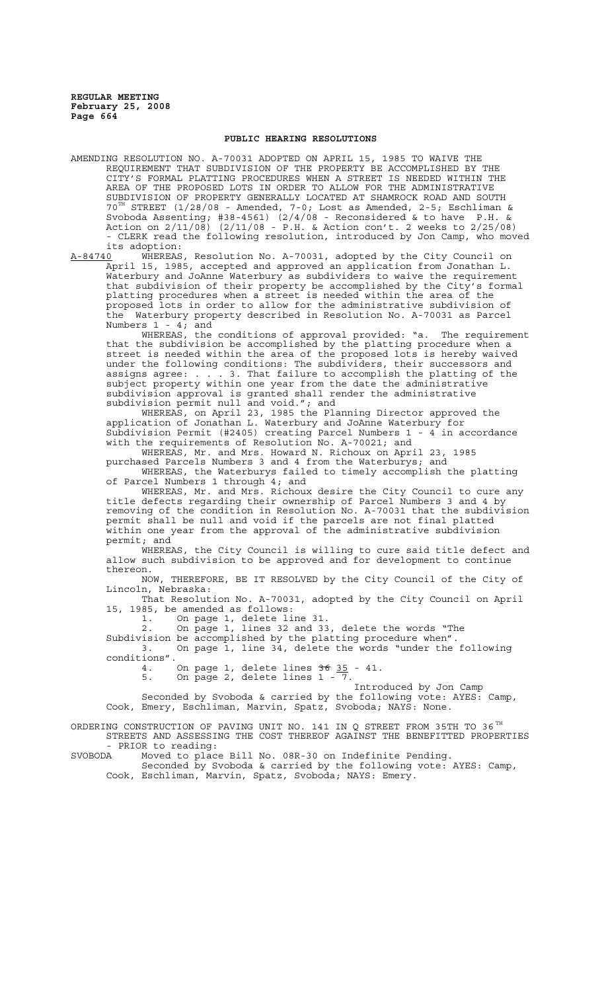## **PUBLIC HEARING RESOLUTIONS**

AMENDING RESOLUTION NO. A-70031 ADOPTED ON APRIL 15, 1985 TO WAIVE THE REQUIREMENT THAT SUBDIVISION OF THE PROPERTY BE ACCOMPLISHED BY THE CITY'S FORMAL PLATTING PROCEDURES WHEN A STREET IS NEEDED WITHIN THE AREA OF THE PROPOSED LOTS IN ORDER TO ALLOW FOR THE ADMINISTRATIVE SUBDIVISION OF PROPERTY GENERALLY LOCATED AT SHAMROCK ROAD AND SOUTH 70TH STREET (1/28/08 - Amended, 7-0; Lost as Amended, 2-5; Eschliman & Svoboda Assenting; #38-4561) (2/4/08 - Reconsidered & to have P.H. & Action on 2/11/08) (2/11/08 - P.H. & Action con't. 2 weeks to 2/25/08) - CLERK read the following resolution, introduced by Jon Camp, who moved

its adoption:<br><u>A-84740</u> WHEREAS A-84740 WHEREAS, Resolution No. A-70031, adopted by the City Council on April 15, 1985, accepted and approved an application from Jonathan L. Waterbury and JoAnne Waterbury as subdividers to waive the requirement that subdivision of their property be accomplished by the City's formal platting procedures when a street is needed within the area of the proposed lots in order to allow for the administrative subdivision of the Waterbury property described in Resolution No. A-70031 as Parcel Numbers 1 - 4; and

WHEREAS, the conditions of approval provided: "a. The requirement WHEREAS, the conditions of approval provided: "a. The requirement<br>that the subdivision be accomplished by the platting procedure when a street is needed within the area of the proposed lots is hereby waived under the following conditions: The subdividers, their successors and assigns agree: . . . 3. That failure to accomplish the platting of the subject property within one year from the date the administrative subdivision approval is granted shall render the administrative subdivision permit null and void."; and

WHEREAS, on April 23, 1985 the Planning Director approved the application of Jonathan L. Waterbury and JoAnne Waterbury for Subdivision Permit (#2405) creating Parcel Numbers 1 - 4 in accordance with the requirements of Resolution No. A-70021; and

WHEREAS, Mr. and Mrs. Howard N. Richoux on April 23, 1985 purchased Parcels Numbers 3 and 4 from the Waterburys; and WHEREAS, the Waterburys failed to timely accomplish the platting

of Parcel Numbers 1 through 4; and

WHEREAS, Mr. and Mrs. Richoux desire the City Council to cure any title defects regarding their ownership of Parcel Numbers 3 and 4 by removing of the condition in Resolution No. A-70031 that the subdivision permit shall be null and void if the parcels are not final platted within one year from the approval of the administrative subdivision permit; and

WHEREAS, the City Council is willing to cure said title defect and allow such subdivision to be approved and for development to continue thereon.<br>NOW.

THEREFORE, BE IT RESOLVED by the City Council of the City of Lincoln, Nebraska:

That Resolution No. A-70031, adopted by the City Council on April 15, 1985, be amended as follows:

1. On page 1, delete line 31.

2. On page 1, lines 32 and 33, delete the words "The

Subdivision be accomplished by the platting procedure when". 3. On page 1, line 34, delete the words "under the following conditions".

4. On page 1, delete lines 36 35 - 41.

5. On page 2, delete lines 1 - 7.

Introduced by Jon Camp

Seconded by Svoboda & carried by the following vote: AYES: Camp, Cook, Emery, Eschliman, Marvin, Spatz, Svoboda; NAYS: None.

ORDERING CONSTRUCTION OF PAVING UNIT NO. 141 IN Q STREET FROM 35TH TO 36  $^{TH}$ STREETS AND ASSESSING THE COST THEREOF AGAINST THE BENEFITTED PROPERTIES

- PRIOR to reading:<br>SVOBODA Moved to plac SVOBODA Moved to place Bill No. 08R-30 on Indefinite Pending.

Seconded by Svoboda & carried by the following vote: AYES: Camp, Cook, Eschliman, Marvin, Spatz, Svoboda; NAYS: Emery.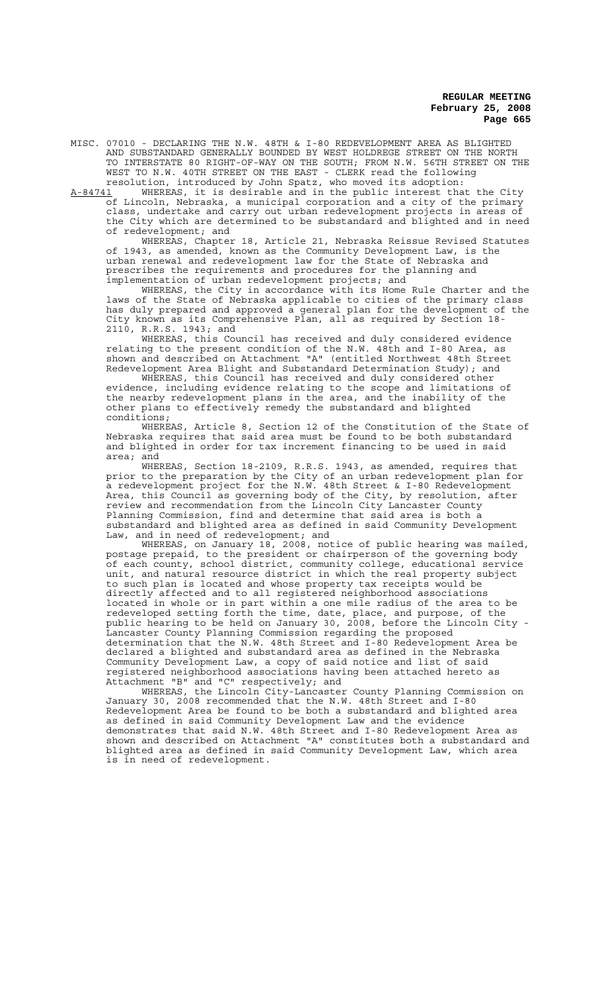MISC. 07010 - DECLARING THE N.W. 48TH & I-80 REDEVELOPMENT AREA AS BLIGHTED AND SUBSTANDARD GENERALLY BOUNDED BY WEST HOLDREGE STREET ON THE NORTH TO INTERSTATE 80 RIGHT-OF-WAY ON THE SOUTH; FROM N.W. 56TH STREET ON THE WEST TO N.W. 40TH STREET ON THE EAST - CLERK read the following resolution, introduced by John Spatz, who moved its adoption:

A-84741 MHEREAS, it is desirable and in the public interest that the City of Lincoln, Nebraska, a municipal corporation and a city of the primary class, undertake and carry out urban redevelopment projects in areas of the City which are determined to be substandard and blighted and in need of redevelopment; and

WHEREAS, Chapter 18, Article 21, Nebraska Reissue Revised Statutes of 1943, as amended, known as the Community Development Law, is the urban renewal and redevelopment law for the State of Nebraska and prescribes the requirements and procedures for the planning and implementation of urban redevelopment projects; and

WHEREAS, the City in accordance with its Home Rule Charter and the laws of the State of Nebraska applicable to cities of the primary class has duly prepared and approved a general plan for the development of the City known as its Comprehensive Plan, all as required by Section 18- 2110, R.R.S. 1943; and

WHEREAS, this Council has received and duly considered evidence relating to the present condition of the N.W. 48th and I-80 Area, as shown and described on Attachment "A" (entitled Northwest 48th Street Redevelopment Area Blight and Substandard Determination Study); and

WHEREAS, this Council has received and duly considered other evidence, including evidence relating to the scope and limitations of the nearby redevelopment plans in the area, and the inability of the other plans to effectively remedy the substandard and blighted conditions;

WHEREAS, Article 8, Section 12 of the Constitution of the State of Nebraska requires that said area must be found to be both substandard and blighted in order for tax increment financing to be used in said area; and

WHEREAS, Section 18-2109, R.R.S. 1943, as amended, requires that prior to the preparation by the City of an urban redevelopment plan for a redevelopment project for the N.W. 48th Street & I-80 Redevelopment Area, this Council as governing body of the City, by resolution, after review and recommendation from the Lincoln City Lancaster County Planning Commission, find and determine that said area is both a substandard and blighted area as defined in said Community Development Law, and in need of redevelopment; and

WHEREAS, on January 18, 2008, notice of public hearing was mailed, postage prepaid, to the president or chairperson of the governing body of each county, school district, community college, educational service unit, and natural resource district in which the real property subject to such plan is located and whose property tax receipts would be directly affected and to all registered neighborhood associations located in whole or in part within a one mile radius of the area to be redeveloped setting forth the time, date, place, and purpose, of the public hearing to be held on January 30, 2008, before the Lincoln City - Lancaster County Planning Commission regarding the proposed determination that the N.W. 48th Street and I-80 Redevelopment Area be declared a blighted and substandard area as defined in the Nebraska Community Development Law, a copy of said notice and list of said registered neighborhood associations having been attached hereto as Attachment "B" and "C" respectively; and

WHEREAS, the Lincoln City-Lancaster County Planning Commission on January 30, 2008 recommended that the N.W. 48th Street and I-80 Redevelopment Area be found to be both a substandard and blighted area as defined in said Community Development Law and the evidence demonstrates that said N.W. 48th Street and I-80 Redevelopment Area as shown and described on Attachment "A" constitutes both a substandard and blighted area as defined in said Community Development Law, which area is in need of redevelopment.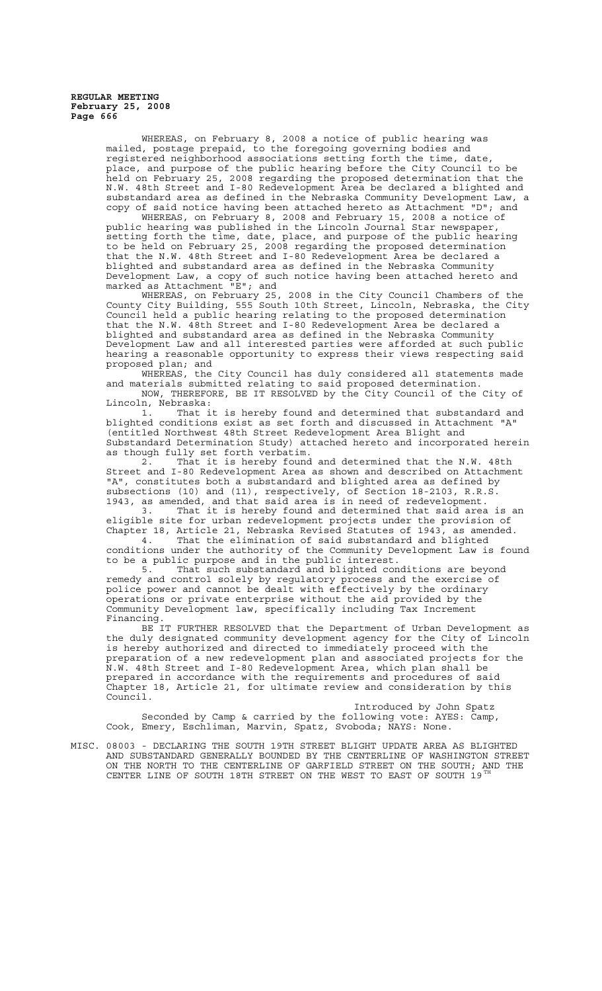> WHEREAS, on February 8, 2008 a notice of public hearing was mailed, postage prepaid, to the foregoing governing bodies and registered neighborhood associations setting forth the time, date, place, and purpose of the public hearing before the City Council to be held on February 25, 2008 regarding the proposed determination that the N.W. 48th Street and I-80 Redevelopment Area be declared a blighted and substandard area as defined in the Nebraska Community Development Law, a copy of said notice having been attached hereto as Attachment "D"; and

WHEREAS, on February 8, 2008 and February 15, 2008 a notice of public hearing was published in the Lincoln Journal Star newspaper, setting forth the time, date, place, and purpose of the public hearing to be held on February 25, 2008 regarding the proposed determination that the N.W. 48th Street and I-80 Redevelopment Area be declared a blighted and substandard area as defined in the Nebraska Community Development Law, a copy of such notice having been attached hereto and marked as Attachment "E"; and

WHEREAS, on February 25, 2008 in the City Council Chambers of the County City Building, 555 South 10th Street, Lincoln, Nebraska, the City Council held a public hearing relating to the proposed determination that the N.W. 48th Street and I-80 Redevelopment Area be declared a blighted and substandard area as defined in the Nebraska Community Development Law and all interested parties were afforded at such public hearing a reasonable opportunity to express their views respecting said proposed plan; and

WHEREAS, the City Council has duly considered all statements made and materials submitted relating to said proposed determination. NOW, THEREFORE, BE IT RESOLVED by the City Council of the City of Lincoln, Nebraska:

1. That it is hereby found and determined that substandard and blighted conditions exist as set forth and discussed in Attachment "A" (entitled Northwest 48th Street Redevelopment Area Blight and Substandard Determination Study) attached hereto and incorporated herein as though fully set forth verbatim.

2. That it is hereby found and determined that the N.W. 48th Street and I-80 Redevelopment Area as shown and described on Attachment "A", constitutes both a substandard and blighted area as defined by subsections (10) and (11), respectively, of Section 18-2103, R.R.S. 1943, as amended, and that said area is in need of redevelopment.

3. That it is hereby found and determined that said area is an eligible site for urban redevelopment projects under the provision of Chapter 18, Article 21, Nebraska Revised Statutes of 1943, as amended.

4. That the elimination of said substandard and blighted conditions under the authority of the Community Development Law is found to be a public purpose and in the public interest.

5. That such substandard and blighted conditions are beyond remedy and control solely by regulatory process and the exercise of police power and cannot be dealt with effectively by the ordinary operations or private enterprise without the aid provided by the Community Development law, specifically including Tax Increment Financing.

BE IT FURTHER RESOLVED that the Department of Urban Development as the duly designated community development agency for the City of Lincoln is hereby authorized and directed to immediately proceed with the preparation of a new redevelopment plan and associated projects for the N.W. 48th Street and I-80 Redevelopment Area, which plan shall be prepared in accordance with the requirements and procedures of said Chapter 18, Article 21, for ultimate review and consideration by this Council.

Introduced by John Spatz Seconded by Camp & carried by the following vote: AYES: Camp, Cook, Emery, Eschliman, Marvin, Spatz, Svoboda; NAYS: None.

MISC. 08003 - DECLARING THE SOUTH 19TH STREET BLIGHT UPDATE AREA AS BLIGHTED AND SUBSTANDARD GENERALLY BOUNDED BY THE CENTERLINE OF WASHINGTON STREET ON THE NORTH TO THE CENTERLINE OF GARFIELD STREET ON THE SOUTH; AND THE CENTER LINE OF SOUTH 18TH STREET ON THE WEST TO EAST OF SOUTH 19TH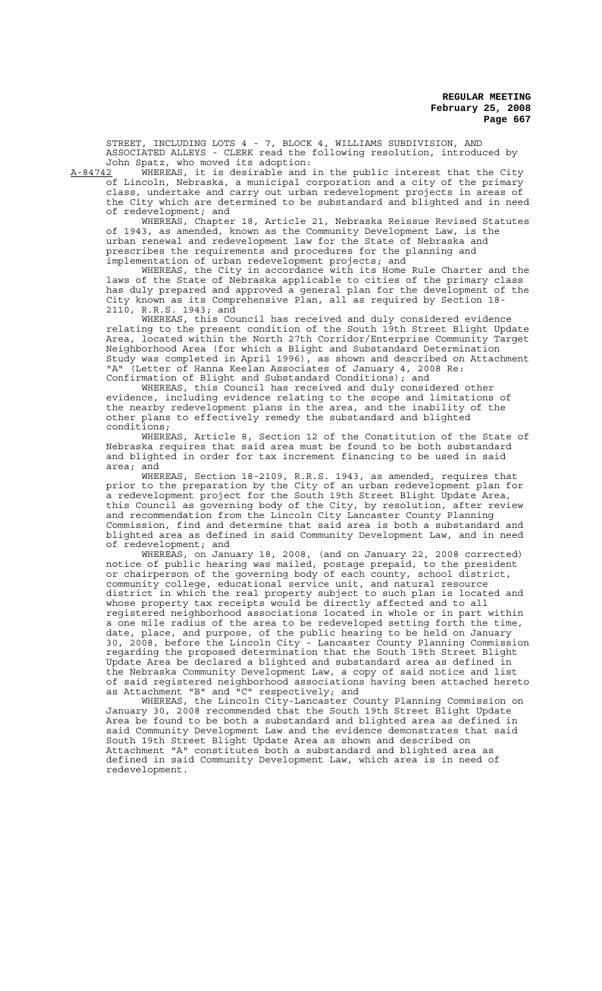STREET, INCLUDING LOTS 4 - 7, BLOCK 4, WILLIAMS SUBDIVISION, AND ASSOCIATED ALLEYS - CLERK read the following resolution, introduced by John Spatz, who moved its adoption:<br>A-84742 WHEREAS, it is desirable and

A-84742 WHEREAS, it is desirable and in the public interest that the City of Lincoln, Nebraska, a municipal corporation and a city of the primary class, undertake and carry out urban redevelopment projects in areas of the City which are determined to be substandard and blighted and in need of redevelopment; and

WHEREAS, Chapter 18, Article 21, Nebraska Reissue Revised Statutes of 1943, as amended, known as the Community Development Law, is the urban renewal and redevelopment law for the State of Nebraska and prescribes the requirements and procedures for the planning and implementation of urban redevelopment projects; and

WHEREAS, the City in accordance with its Home Rule Charter and the laws of the State of Nebraska applicable to cities of the primary class has duly prepared and approved a general plan for the development of the City known as its Comprehensive Plan, all as required by Section 18- 2110, R.R.S. 1943; and

WHEREAS, this Council has received and duly considered evidence relating to the present condition of the South 19th Street Blight Update Area, located within the North 27th Corridor/Enterprise Community Target Neighborhood Area (for which a Blight and Substandard Determination Study was completed in April 1996), as shown and described on Attachment "A" (Letter of Hanna Keelan Associates of January 4, 2008 Re: Confirmation of Blight and Substandard Conditions); and

WHEREAS, this Council has received and duly considered other evidence, including evidence relating to the scope and limitations of the nearby redevelopment plans in the area, and the inability of the other plans to effectively remedy the substandard and blighted conditions;

WHEREAS, Article 8, Section 12 of the Constitution of the State of Nebraska requires that said area must be found to be both substandard and blighted in order for tax increment financing to be used in said area; and

WHEREAS, Section 18-2109, R.R.S. 1943, as amended, requires that prior to the preparation by the City of an urban redevelopment plan for a redevelopment project for the South 19th Street Blight Update Area, this Council as governing body of the City, by resolution, after review and recommendation from the Lincoln City Lancaster County Planning Commission, find and determine that said area is both a substandard and blighted area as defined in said Community Development Law, and in need of redevelopment; and

WHEREAS, on January 18, 2008, (and on January 22, 2008 corrected) notice of public hearing was mailed, postage prepaid, to the president or chairperson of the governing body of each county, school district, community college, educational service unit, and natural resource district in which the real property subject to such plan is located and whose property tax receipts would be directly affected and to all registered neighborhood associations located in whole or in part within a one mile radius of the area to be redeveloped setting forth the time, date, place, and purpose, of the public hearing to be held on January 30, 2008, before the Lincoln City - Lancaster County Planning Commission regarding the proposed determination that the South 19th Street Blight Update Area be declared a blighted and substandard area as defined in the Nebraska Community Development Law, a copy of said notice and list of said registered neighborhood associations having been attached hereto as Attachment "B" and "C" respectively; and

WHEREAS, the Lincoln City-Lancaster County Planning Commission on January 30, 2008 recommended that the South 19th Street Blight Update Area be found to be both a substandard and blighted area as defined in said Community Development Law and the evidence demonstrates that said South 19th Street Blight Update Area as shown and described on Attachment "A" constitutes both a substandard and blighted area as defined in said Community Development Law, which area is in need of redevelopment.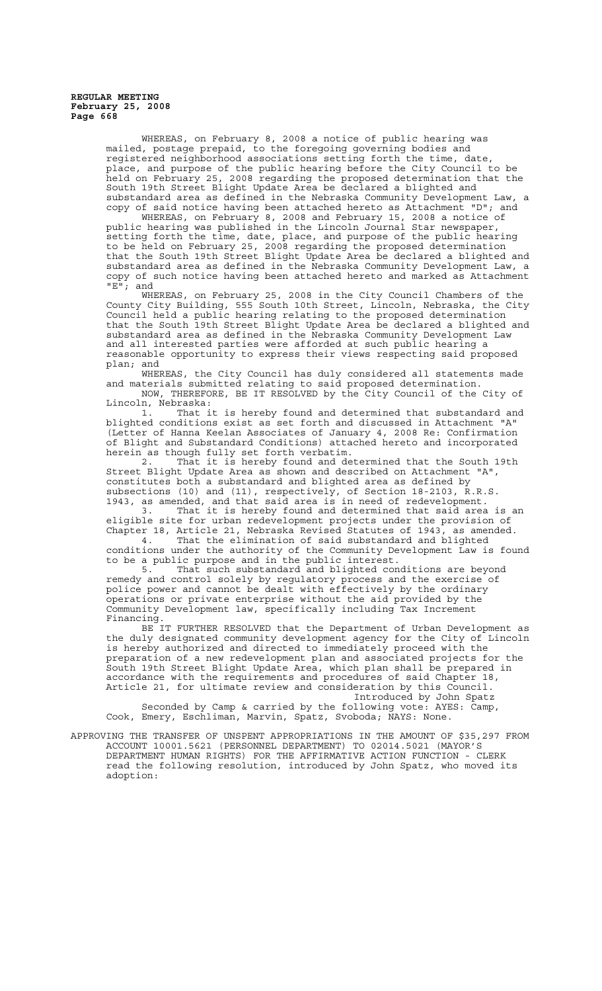> WHEREAS, on February 8, 2008 a notice of public hearing was mailed, postage prepaid, to the foregoing governing bodies and registered neighborhood associations setting forth the time, date, place, and purpose of the public hearing before the City Council to be held on February 25, 2008 regarding the proposed determination that the South 19th Street Blight Update Area be declared a blighted and substandard area as defined in the Nebraska Community Development Law, a copy of said notice having been attached hereto as Attachment "D"; and

> WHEREAS, on February 8, 2008 and February 15, 2008 a notice of public hearing was published in the Lincoln Journal Star newspaper, setting forth the time, date, place, and purpose of the public hearing to be held on February 25, 2008 regarding the proposed determination that the South 19th Street Blight Update Area be declared a blighted and substandard area as defined in the Nebraska Community Development Law, a copy of such notice having been attached hereto and marked as Attachment "E"; and

> WHEREAS, on February 25, 2008 in the City Council Chambers of the County City Building, 555 South 10th Street, Lincoln, Nebraska, the City Council held a public hearing relating to the proposed determination that the South 19th Street Blight Update Area be declared a blighted and substandard area as defined in the Nebraska Community Development Law and all interested parties were afforded at such public hearing a reasonable opportunity to express their views respecting said proposed plan; and

WHEREAS, the City Council has duly considered all statements made and materials submitted relating to said proposed determination. NOW, THEREFORE, BE IT RESOLVED by the City Council of the City of Lincoln, Nebraska:

1. That it is hereby found and determined that substandard and blighted conditions exist as set forth and discussed in Attachment "A" (Letter of Hanna Keelan Associates of January 4, 2008 Re: Confirmation of Blight and Substandard Conditions) attached hereto and incorporated herein as though fully set forth verbatim.<br>2. That it is hereby found and de

That it is hereby found and determined that the South 19th Street Blight Update Area as shown and described on Attachment "A", constitutes both a substandard and blighted area as defined by subsections (10) and (11), respectively, of Section 18-2103, R.R.S. 1943, as amended, and that said area is in need of redevelopment.

3. That it is hereby found and determined that said area is an eligible site for urban redevelopment projects under the provision of Chapter 18, Article 21, Nebraska Revised Statutes of 1943, as amended. 4. That the elimination of said substandard and blighted

conditions under the authority of the Community Development Law is found to be a public purpose and in the public interest.

5. That such substandard and blighted conditions are beyond remedy and control solely by regulatory process and the exercise of police power and cannot be dealt with effectively by the ordinary operations or private enterprise without the aid provided by the Community Development law, specifically including Tax Increment Financing.

BE IT FURTHER RESOLVED that the Department of Urban Development as the duly designated community development agency for the City of Lincoln is hereby authorized and directed to immediately proceed with the preparation of a new redevelopment plan and associated projects for the South 19th Street Blight Update Area, which plan shall be prepared in accordance with the requirements and procedures of said Chapter 18, Article 21, for ultimate review and consideration by this Council. Introduced by John Spatz

Seconded by Camp & carried by the following vote: AYES: Camp, Cook, Emery, Eschliman, Marvin, Spatz, Svoboda; NAYS: None.

APPROVING THE TRANSFER OF UNSPENT APPROPRIATIONS IN THE AMOUNT OF \$35,297 FROM ACCOUNT 10001.5621 (PERSONNEL DEPARTMENT) TO 02014.5021 (MAYOR'S DEPARTMENT HUMAN RIGHTS) FOR THE AFFIRMATIVE ACTION FUNCTION - CLERK read the following resolution, introduced by John Spatz, who moved its adoption: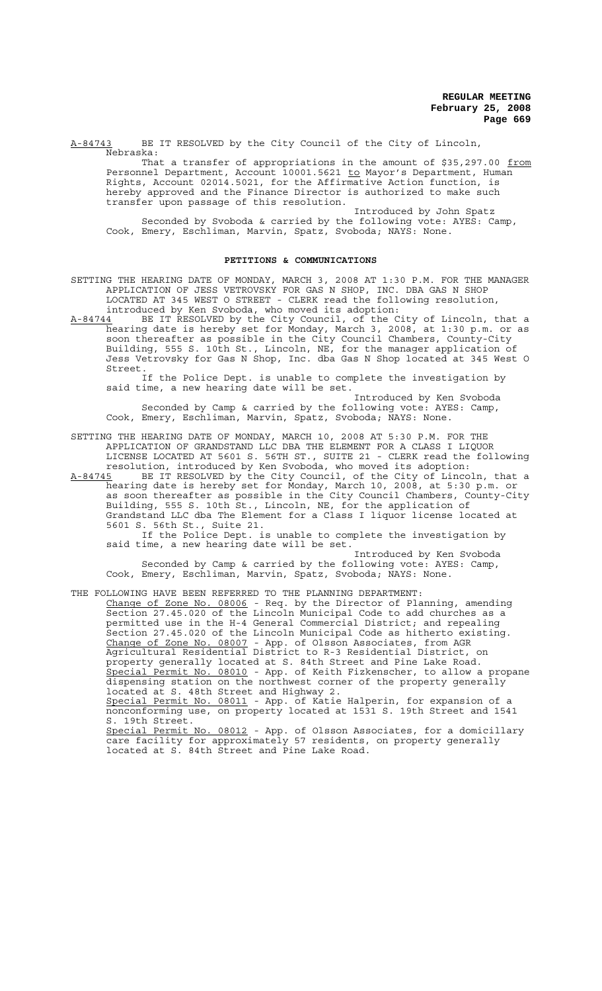A-84743 BE IT RESOLVED by the City Council of the City of Lincoln, Nebraska:

That a transfer of appropriations in the amount of \$35,297.00 from Personnel Department, Account 10001.5621 to Mayor's Department, Human Rights, Account 02014.5021, for the Affirmative Action function, is hereby approved and the Finance Director is authorized to make such transfer upon passage of this resolution.

Introduced by John Spatz Seconded by Svoboda & carried by the following vote: AYES: Camp, Cook, Emery, Eschliman, Marvin, Spatz, Svoboda; NAYS: None.

#### **PETITIONS & COMMUNICATIONS**

SETTING THE HEARING DATE OF MONDAY, MARCH 3, 2008 AT 1:30 P.M. FOR THE MANAGER APPLICATION OF JESS VETROVSKY FOR GAS N SHOP, INC. DBA GAS N SHOP LOCATED AT 345 WEST O STREET - CLERK read the following resolution,

introduced by Ken Svoboda, who moved its adoption:<br>A-84744 BE IT RESOLVED by the City Council, of the C A-84744 BE IT RESOLVED by the City Council, of the City of Lincoln, that a hearing date is hereby set for Monday, March 3, 2008, at 1:30 p.m. or as soon thereafter as possible in the City Council Chambers, County-City Building, 555 S. 10th St., Lincoln, NE, for the manager application of Jess Vetrovsky for Gas N Shop, Inc. dba Gas N Shop located at 345 West O Street.

If the Police Dept. is unable to complete the investigation by said time, a new hearing date will be set.

Introduced by Ken Svoboda Seconded by Camp & carried by the following vote: AYES: Camp, Cook, Emery, Eschliman, Marvin, Spatz, Svoboda; NAYS: None.

SETTING THE HEARING DATE OF MONDAY, MARCH 10, 2008 AT 5:30 P.M. FOR THE APPLICATION OF GRANDSTAND LLC DBA THE ELEMENT FOR A CLASS I LIQUOR LICENSE LOCATED AT 5601 S. 56TH ST., SUITE 21 - CLERK read the following resolution, introduced by Ken Svoboda, who moved its adoption:<br>A-84745 BE IT RESOLVED by the City Council, of the City of Linco

A-84745 BE IT RESOLVED by the City Council, of the City of Lincoln, that a hearing date is hereby set for Monday, March 10, 2008, at 5:30 p.m. or as soon thereafter as possible in the City Council Chambers, County-City Building, 555 S. 10th St., Lincoln, NE, for the application of Grandstand LLC dba The Element for a Class I liquor license located at 5601 S. 56th St., Suite 21.

If the Police Dept. is unable to complete the investigation by said time, a new hearing date will be set.

Introduced by Ken Svoboda Seconded by Camp & carried by the following vote: AYES: Camp, Cook, Emery, Eschliman, Marvin, Spatz, Svoboda; NAYS: None.

THE FOLLOWING HAVE BEEN REFERRED TO THE PLANNING DEPARTMENT:

Change of Zone No. 08006 - Req. by the Director of Planning, amending Section 27.45.020 of the Lincoln Municipal Code to add churches as a permitted use in the H-4 General Commercial District; and repealing Section 27.45.020 of the Lincoln Municipal Code as hitherto existing. Change of Zone No. 08007 - App. of Olsson Associates, from AGR Agricultural Residential District to R-3 Residential District, on property generally located at S. 84th Street and Pine Lake Road. Special Permit No. 08010 - App. of Keith Fizkenscher, to allow a propane dispensing station on the northwest corner of the property generally located at S. 48th Street and Highway 2. Special Permit No. 08011 - App. of Katie Halperin, for expansion of a nonconforming use, on property located at 1531 S. 19th Street and 1541 S. 19th Street. Special Permit No. 08012 - App. of Olsson Associates, for a domicillary care facility for approximately 57 residents, on property generally located at S. 84th Street and Pine Lake Road.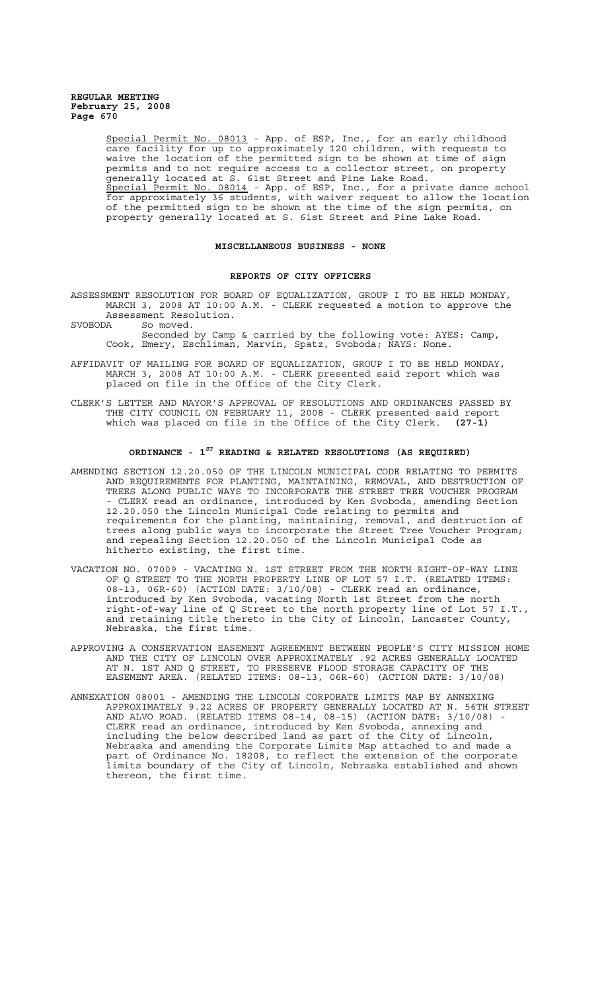Special Permit No. 08013 - App. of ESP, Inc., for an early childhood care facility for up to approximately 120 children, with requests to waive the location of the permitted sign to be shown at time of sign permits and to not require access to a collector street, on property generally located at S. 61st Street and Pine Lake Road. Special Permit No. 08014 - App. of ESP, Inc., for a private dance school for approximately 36 students, with waiver request to allow the location of the permitted sign to be shown at the time of the sign permits, on property generally located at S. 61st Street and Pine Lake Road.

#### **MISCELLANEOUS BUSINESS - NONE**

#### **REPORTS OF CITY OFFICERS**

- ASSESSMENT RESOLUTION FOR BOARD OF EQUALIZATION, GROUP I TO BE HELD MONDAY, MARCH 3, 2008 AT 10:00 A.M. - CLERK requested a motion to approve the Assessment Resolution.<br>SVOBODA So moved.
- So moved.

Seconded by Camp & carried by the following vote: AYES: Camp, Cook, Emery, Eschliman, Marvin, Spatz, Svoboda; NAYS: None.

- AFFIDAVIT OF MAILING FOR BOARD OF EQUALIZATION, GROUP I TO BE HELD MONDAY, MARCH 3, 2008 AT 10:00 A.M. - CLERK presented said report which was placed on file in the Office of the City Clerk.
- CLERK'S LETTER AND MAYOR'S APPROVAL OF RESOLUTIONS AND ORDINANCES PASSED BY THE CITY COUNCIL ON FEBRUARY 11, 2008 - CLERK presented said report which was placed on file in the Office of the City Clerk. **(27-1)**

#### **ORDINANCE - 1ST READING & RELATED RESOLUTIONS (AS REQUIRED)**

- AMENDING SECTION 12.20.050 OF THE LINCOLN MUNICIPAL CODE RELATING TO PERMITS AND REQUIREMENTS FOR PLANTING, MAINTAINING, REMOVAL, AND DESTRUCTION OF TREES ALONG PUBLIC WAYS TO INCORPORATE THE STREET TREE VOUCHER PROGRAM - CLERK read an ordinance, introduced by Ken Svoboda, amending Section 12.20.050 the Lincoln Municipal Code relating to permits and requirements for the planting, maintaining, removal, and destruction of trees along public ways to incorporate the Street Tree Voucher Program; and repealing Section 12.20.050 of the Lincoln Municipal Code as hitherto existing, the first time.
- VACATION NO. 07009 VACATING N. 1ST STREET FROM THE NORTH RIGHT-OF-WAY LINE OF Q STREET TO THE NORTH PROPERTY LINE OF LOT 57 I.T. (RELATED ITEMS: 08-13, 06R-60) (ACTION DATE: 3/10/08) - CLERK read an ordinance, introduced by Ken Svoboda, vacating North 1st Street from the north right-of-way line of Q Street to the north property line of Lot 57 I.T., and retaining title thereto in the City of Lincoln, Lancaster County, Nebraska, the first time.
- APPROVING A CONSERVATION EASEMENT AGREEMENT BETWEEN PEOPLE'S CITY MISSION HOME AND THE CITY OF LINCOLN OVER APPROXIMATELY .92 ACRES GENERALLY LOCATED AT N. 1ST AND Q STREET, TO PRESERVE FLOOD STORAGE CAPACITY OF THE EASEMENT AREA. (RELATED ITEMS: 08-13, 06R-60) (ACTION DATE: 3/10/08)
- ANNEXATION 08001 AMENDING THE LINCOLN CORPORATE LIMITS MAP BY ANNEXING APPROXIMATELY 9.22 ACRES OF PROPERTY GENERALLY LOCATED AT N. 56TH STREET AND ALVO ROAD. (RELATED ITEMS  $08-14$ ,  $08-15$ ) (ACTION DATE:  $3/10/08$ ) CLERK read an ordinance, introduced by Ken Svoboda, annexing and including the below described land as part of the City of Lincoln, Nebraska and amending the Corporate Limits Map attached to and made a part of Ordinance No. 18208, to reflect the extension of the corporate limits boundary of the City of Lincoln, Nebraska established and shown thereon, the first time.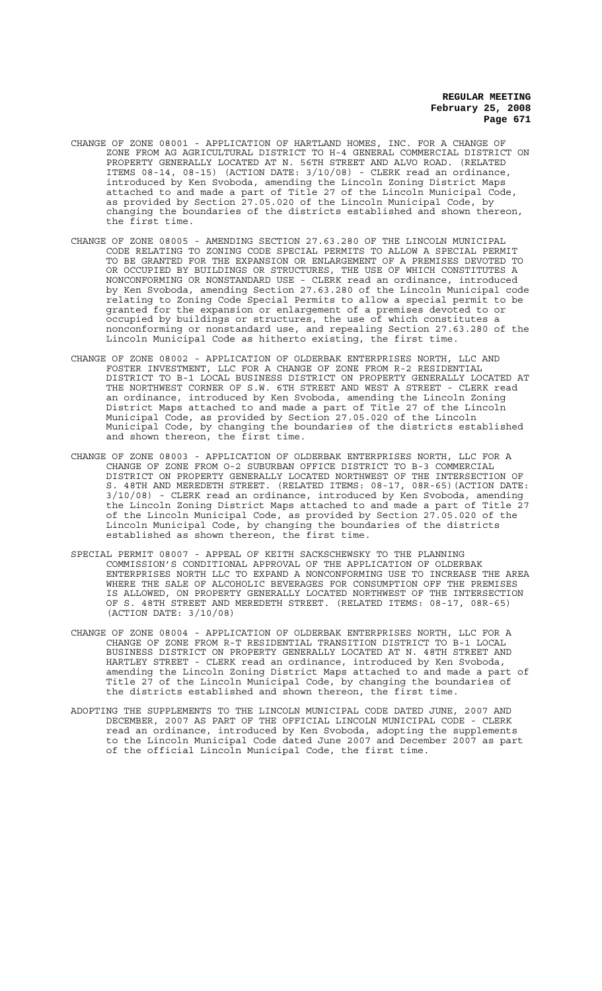- CHANGE OF ZONE 08001 APPLICATION OF HARTLAND HOMES, INC. FOR A CHANGE OF ZONE FROM AG AGRICULTURAL DISTRICT TO H-4 GENERAL COMMERCIAL DISTRICT ON PROPERTY GENERALLY LOCATED AT N. 56TH STREET AND ALVO ROAD. (RELATED ITEMS 08-14, 08-15) (ACTION DATE: 3/10/08) - CLERK read an ordinance, introduced by Ken Svoboda, amending the Lincoln Zoning District Maps attached to and made a part of Title 27 of the Lincoln Municipal Code, as provided by Section 27.05.020 of the Lincoln Municipal Code, by changing the boundaries of the districts established and shown thereon, the first time.
- CHANGE OF ZONE 08005 AMENDING SECTION 27.63.280 OF THE LINCOLN MUNICIPAL CODE RELATING TO ZONING CODE SPECIAL PERMITS TO ALLOW A SPECIAL PERMIT TO BE GRANTED FOR THE EXPANSION OR ENLARGEMENT OF A PREMISES DEVOTED TO OR OCCUPIED BY BUILDINGS OR STRUCTURES, THE USE OF WHICH CONSTITUTES A NONCONFORMING OR NONSTANDARD USE - CLERK read an ordinance, introduced by Ken Svoboda, amending Section 27.63.280 of the Lincoln Municipal code relating to Zoning Code Special Permits to allow a special permit to be granted for the expansion or enlargement of a premises devoted to or occupied by buildings or structures, the use of which constitutes a nonconforming or nonstandard use, and repealing Section 27.63.280 of the Lincoln Municipal Code as hitherto existing, the first time.
- CHANGE OF ZONE 08002 APPLICATION OF OLDERBAK ENTERPRISES NORTH, LLC AND FOSTER INVESTMENT, LLC FOR A CHANGE OF ZONE FROM R-2 RESIDENTIAL DISTRICT TO B-1 LOCAL BUSINESS DISTRICT ON PROPERTY GENERALLY LOCATED AT THE NORTHWEST CORNER OF S.W. 6TH STREET AND WEST A STREET - CLERK read an ordinance, introduced by Ken Svoboda, amending the Lincoln Zoning District Maps attached to and made a part of Title 27 of the Lincoln Municipal Code, as provided by Section 27.05.020 of the Lincoln Municipal Code, by changing the boundaries of the districts established and shown thereon, the first time.
- CHANGE OF ZONE 08003 APPLICATION OF OLDERBAK ENTERPRISES NORTH, LLC FOR A CHANGE OF ZONE FROM O-2 SUBURBAN OFFICE DISTRICT TO B-3 COMMERCIAL DISTRICT ON PROPERTY GENERALLY LOCATED NORTHWEST OF THE INTERSECTION OF S. 48TH AND MEREDETH STREET. (RELATED ITEMS: 08-17, 08R-65)(ACTION DATE: 3/10/08) - CLERK read an ordinance, introduced by Ken Svoboda, amending the Lincoln Zoning District Maps attached to and made a part of Title 27 of the Lincoln Municipal Code, as provided by Section 27.05.020 of the Lincoln Municipal Code, by changing the boundaries of the districts established as shown thereon, the first time.
- SPECIAL PERMIT 08007 APPEAL OF KEITH SACKSCHEWSKY TO THE PLANNING COMMISSION'S CONDITIONAL APPROVAL OF THE APPLICATION OF OLDERBAK ENTERPRISES NORTH LLC TO EXPAND A NONCONFORMING USE TO INCREASE THE AREA WHERE THE SALE OF ALCOHOLIC BEVERAGES FOR CONSUMPTION OFF THE PREMISES IS ALLOWED, ON PROPERTY GENERALLY LOCATED NORTHWEST OF THE INTERSECTION OF S. 48TH STREET AND MEREDETH STREET. (RELATED ITEMS: 08-17, 08R-65) (ACTION DATE: 3/10/08)
- CHANGE OF ZONE 08004 APPLICATION OF OLDERBAK ENTERPRISES NORTH, LLC FOR A CHANGE OF ZONE FROM R-T RESIDENTIAL TRANSITION DISTRICT TO B-1 LOCAL BUSINESS DISTRICT ON PROPERTY GENERALLY LOCATED AT N. 48TH STREET AND HARTLEY STREET - CLERK read an ordinance, introduced by Ken Svoboda, amending the Lincoln Zoning District Maps attached to and made a part of Title 27 of the Lincoln Municipal Code, by changing the boundaries of the districts established and shown thereon, the first time.
- ADOPTING THE SUPPLEMENTS TO THE LINCOLN MUNICIPAL CODE DATED JUNE, 2007 AND DECEMBER, 2007 AS PART OF THE OFFICIAL LINCOLN MUNICIPAL CODE - CLERK read an ordinance, introduced by Ken Svoboda, adopting the supplements to the Lincoln Municipal Code dated June 2007 and December 2007 as part of the official Lincoln Municipal Code, the first time.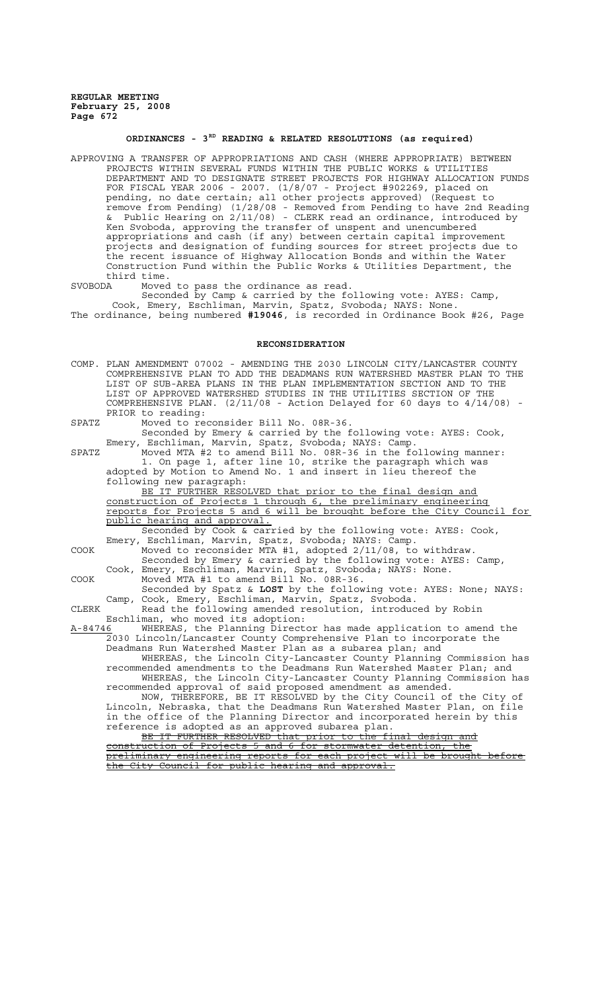# **ORDINANCES - 3RD READING & RELATED RESOLUTIONS (as required)**

APPROVING A TRANSFER OF APPROPRIATIONS AND CASH (WHERE APPROPRIATE) BETWEEN PROJECTS WITHIN SEVERAL FUNDS WITHIN THE PUBLIC WORKS & UTILITIES DEPARTMENT AND TO DESIGNATE STREET PROJECTS FOR HIGHWAY ALLOCATION FUNDS FOR FISCAL YEAR 2006 - 2007. (1/8/07 - Project #902269, placed on pending, no date certain; all other projects approved) (Request to remove from Pending) (1/28/08 - Removed from Pending to have 2nd Reading & Public Hearing on 2/11/08) - CLERK read an ordinance, introduced by Ken Svoboda, approving the transfer of unspent and unencumbered appropriations and cash (if any) between certain capital improvement projects and designation of funding sources for street projects due to the recent issuance of Highway Allocation Bonds and within the Water Construction Fund within the Public Works & Utilities Department, the third time.

SVOBODA Moved to pass the ordinance as read.

Seconded by Camp & carried by the following vote: AYES: Camp, Cook, Emery, Eschliman, Marvin, Spatz, Svoboda; NAYS: None. The ordinance, being numbered **#19046**, is recorded in Ordinance Book #26, Page

#### **RECONSIDERATION**

COMP. PLAN AMENDMENT 07002 - AMENDING THE 2030 LINCOLN CITY/LANCASTER COUNTY COMPREHENSIVE PLAN TO ADD THE DEADMANS RUN WATERSHED MASTER PLAN TO THE LIST OF SUB-AREA PLANS IN THE PLAN IMPLEMENTATION SECTION AND TO THE LIST OF APPROVED WATERSHED STUDIES IN THE UTILITIES SECTION OF THE COMPREHENSIVE PLAN.  $(2/11/08$  - Action Delayed for 60 days to  $4/14/08$ ) -PRIOR to reading:

SPATZ Moved to reconsider Bill No. 08R-36.

Seconded by Emery & carried by the following vote: AYES: Cook, Emery, Eschliman, Marvin, Spatz, Svoboda; NAYS: Camp.

SPATZ Moved MTA #2 to amend Bill No. 08R-36 in the following manner: 1. On page 1, after line 10, strike the paragraph which was adopted by Motion to Amend No. 1 and insert in lieu thereof the following new paragraph:

BE IT FURTHER RESOLVED that prior to the final design and construction of Projects 1 through 6, the preliminary engineering reports for Projects 5 and 6 will be brought before the City Council for public hearing and approval.

Seconded by Cook & carried by the following vote: AYES: Cook, Emery, Eschliman, Marvin, Spatz, Svoboda; NAYS: Camp.

COOK Moved to reconsider MTA #1, adopted 2/11/08, to withdraw. Seconded by Emery & carried by the following vote: AYES: Camp, Cook, Emery, Eschliman, Marvin, Spatz, Svoboda; NAYS: None.

COOK Moved MTA #1 to amend Bill No. 08R-36.

Seconded by Spatz & **LOST** by the following vote: AYES: None; NAYS: Camp, Cook, Emery, Eschliman, Marvin, Spatz, Svoboda.

CLERK Read the following amended resolution, introduced by Robin Eschliman, who moved its adoption:

A-84746 MHEREAS, the Planning Director has made application to amend the 2030 Lincoln/Lancaster County Comprehensive Plan to incorporate the Deadmans Run Watershed Master Plan as a subarea plan; and

WHEREAS, the Lincoln City-Lancaster County Planning Commission has recommended amendments to the Deadmans Run Watershed Master Plan; and WHEREAS, the Lincoln City-Lancaster County Planning Commission has recommended approval of said proposed amendment as amended.

NOW, THEREFORE, BE IT RESOLVED by the City Council of the City of Lincoln, Nebraska, that the Deadmans Run Watershed Master Plan, on file in the office of the Planning Director and incorporated herein by this reference is adopted as an approved subarea plan.

BE IT FURTHER RESOLVED that prior to the final design and construction of Projects 5 and 6 for stormwater detention, the preliminary engineering reports for each project will be brought before the City Council for public hearing and approval.